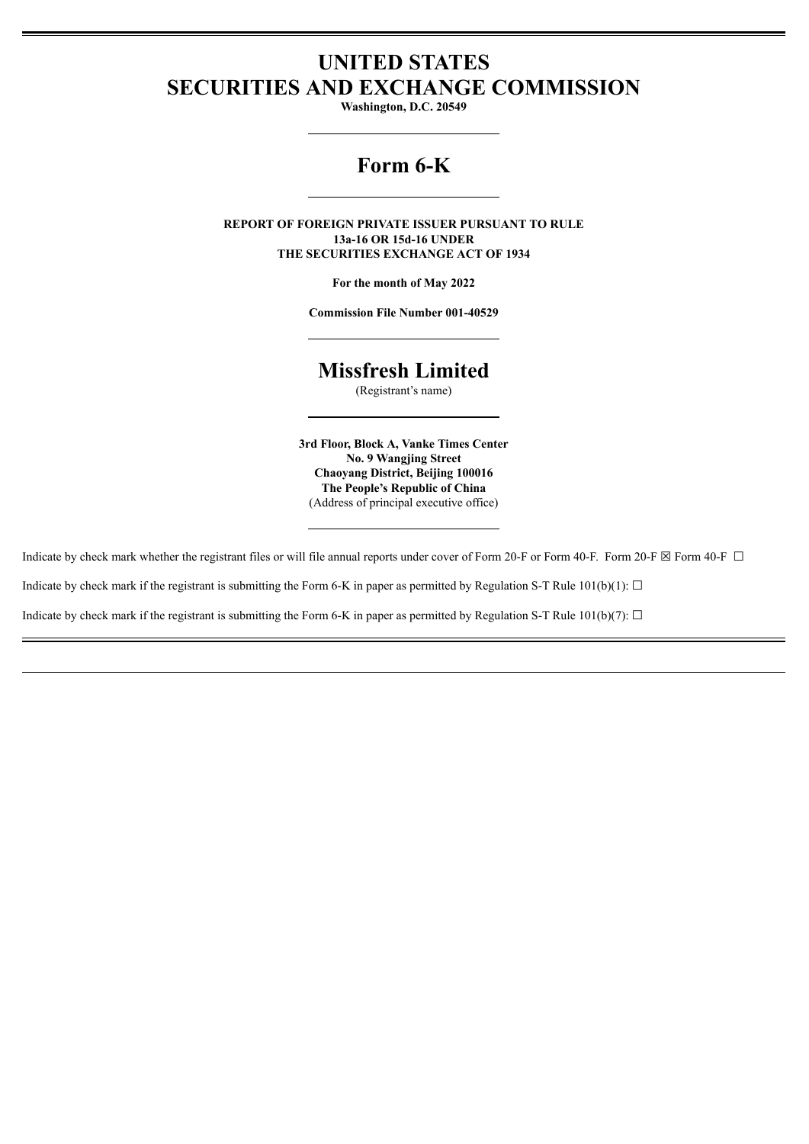## **UNITED STATES SECURITIES AND EXCHANGE COMMISSION**

**Washington, D.C. 20549**

# **Form 6-K**

**REPORT OF FOREIGN PRIVATE ISSUER PURSUANT TO RULE 13a-16 OR 15d-16 UNDER THE SECURITIES EXCHANGE ACT OF 1934**

**For the month of May 2022**

**Commission File Number 001-40529**

## **Missfresh Limited**

(Registrant's name)

**3rd Floor, Block A, Vanke Times Center No. 9 Wangjing Street Chaoyang District, Beijing 100016 The People's Republic of China** (Address of principal executive office)

Indicate by check mark whether the registrant files or will file annual reports under cover of Form 20-F or Form 40-F. Form 20-F  $\boxtimes$  Form 40-F  $\Box$ 

Indicate by check mark if the registrant is submitting the Form 6-K in paper as permitted by Regulation S-T Rule  $101(b)(1)$ :  $\Box$ 

Indicate by check mark if the registrant is submitting the Form 6-K in paper as permitted by Regulation S-T Rule  $101(b)(7)$ :  $\Box$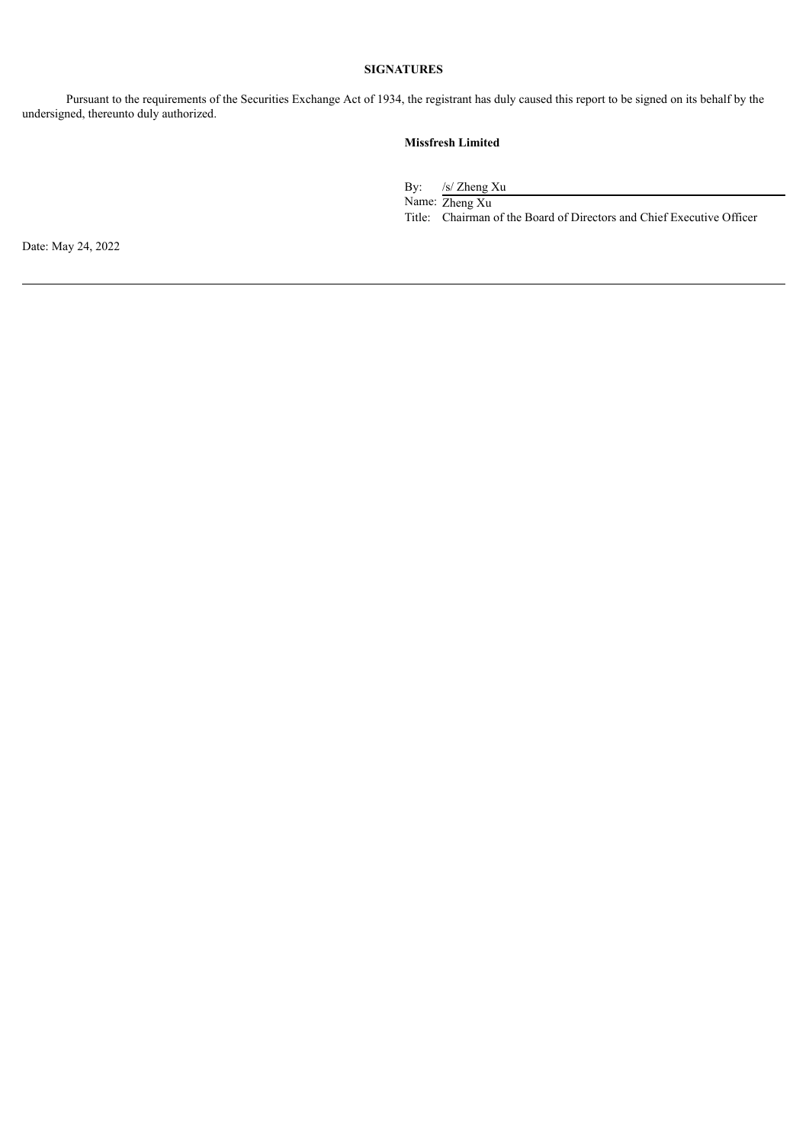### **SIGNATURES**

Pursuant to the requirements of the Securities Exchange Act of 1934, the registrant has duly caused this report to be signed on its behalf by the undersigned, thereunto duly authorized.

## **Missfresh Limited**

By: /s/ Zheng Xu Name: Zheng Xu Title: Chairman of the Board of Directors and Chief Executive Officer

Date: May 24, 2022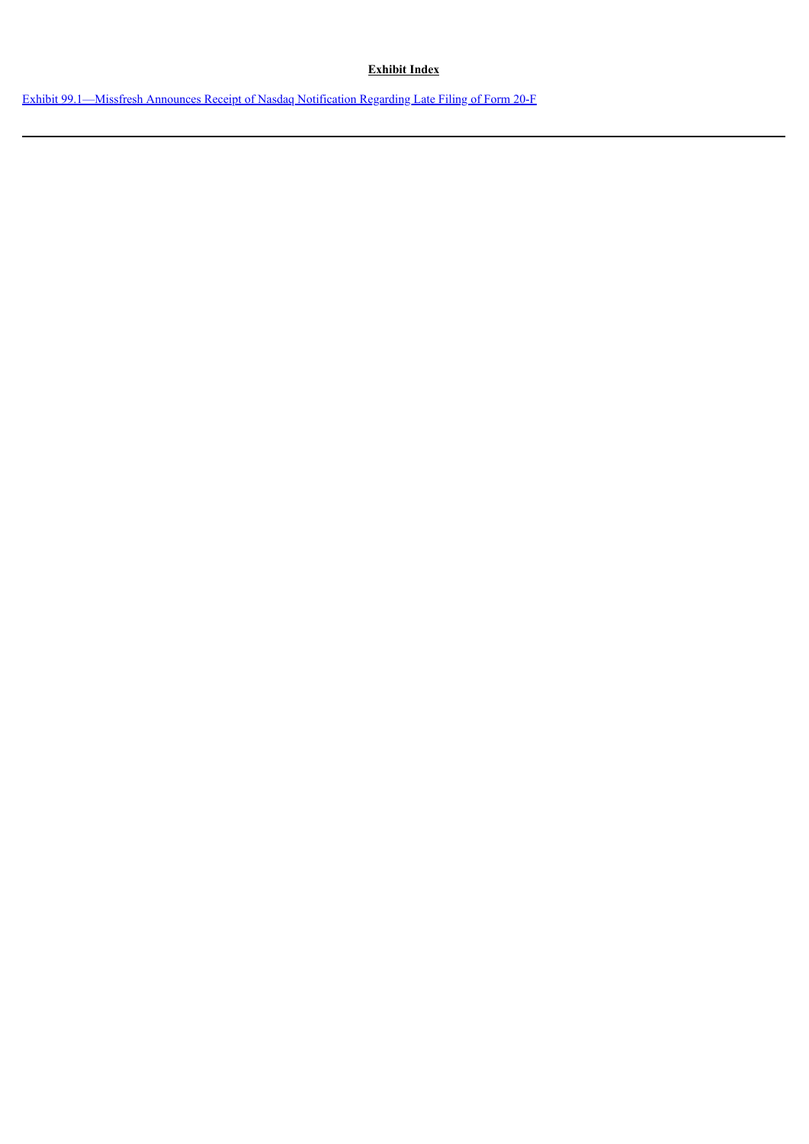## **Exhibit Index**

Exhibit [99.1—Missfresh](#page-3-0) Announces Receipt of Nasdaq Notification Regarding Late Filing of Form 20-F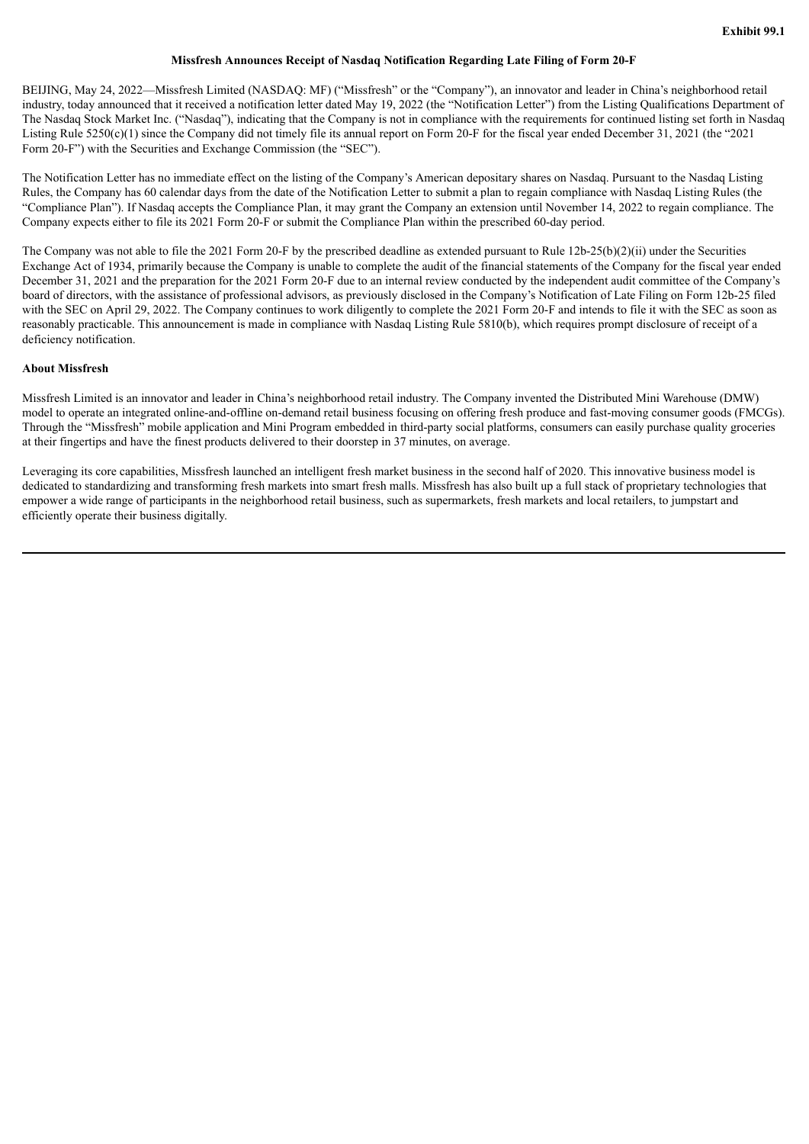#### **Missfresh Announces Receipt of Nasdaq Notification Regarding Late Filing of Form 20-F**

<span id="page-3-0"></span>BEIJING, May 24, 2022—Missfresh Limited (NASDAQ: MF) ("Missfresh" or the "Company"), an innovator and leader in China's neighborhood retail industry, today announced that it received a notification letter dated May 19, 2022 (the "Notification Letter") from the Listing Qualifications Department of The Nasdaq Stock Market Inc. ("Nasdaq"), indicating that the Company is not in compliance with the requirements for continued listing set forth in Nasdaq Listing Rule 5250(c)(1) since the Company did not timely file its annual report on Form 20-F for the fiscal year ended December 31, 2021 (the "2021 Form 20-F") with the Securities and Exchange Commission (the "SEC").

The Notification Letter has no immediate effect on the listing of the Company's American depositary shares on Nasdaq. Pursuant to the Nasdaq Listing Rules, the Company has 60 calendar days from the date of the Notification Letter to submit a plan to regain compliance with Nasdaq Listing Rules (the "Compliance Plan"). If Nasdaq accepts the Compliance Plan, it may grant the Company an extension until November 14, 2022 to regain compliance. The Company expects either to file its 2021 Form 20-F or submit the Compliance Plan within the prescribed 60-day period.

The Company was not able to file the 2021 Form 20-F by the prescribed deadline as extended pursuant to Rule 12b-25(b)(2)(ii) under the Securities Exchange Act of 1934, primarily because the Company is unable to complete the audit of the financial statements of the Company for the fiscal year ended December 31, 2021 and the preparation for the 2021 Form 20-F due to an internal review conducted by the independent audit committee of the Company's board of directors, with the assistance of professional advisors, as previously disclosed in the Company's Notification of Late Filing on Form 12b-25 filed with the SEC on April 29, 2022. The Company continues to work diligently to complete the 2021 Form 20-F and intends to file it with the SEC as soon as reasonably practicable. This announcement is made in compliance with Nasdaq Listing Rule 5810(b), which requires prompt disclosure of receipt of a deficiency notification.

#### **About Missfresh**

Missfresh Limited is an innovator and leader in China's neighborhood retail industry. The Company invented the Distributed Mini Warehouse (DMW) model to operate an integrated online-and-offline on-demand retail business focusing on offering fresh produce and fast-moving consumer goods (FMCGs). Through the "Missfresh" mobile application and Mini Program embedded in third-party social platforms, consumers can easily purchase quality groceries at their fingertips and have the finest products delivered to their doorstep in 37 minutes, on average.

Leveraging its core capabilities, Missfresh launched an intelligent fresh market business in the second half of 2020. This innovative business model is dedicated to standardizing and transforming fresh markets into smart fresh malls. Missfresh has also built up a full stack of proprietary technologies that empower a wide range of participants in the neighborhood retail business, such as supermarkets, fresh markets and local retailers, to jumpstart and efficiently operate their business digitally.